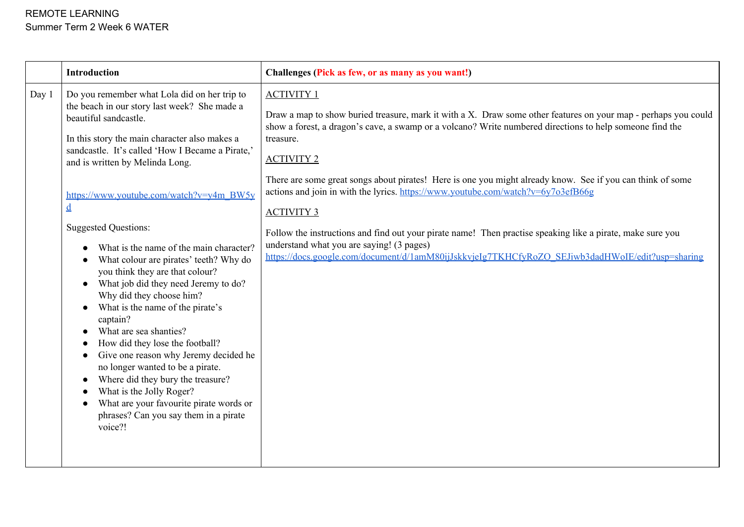|       | <b>Introduction</b>                                                                                                                                                                                                                                                                                                                                                                                                                                                                                                                                                                                                                                                                                                                                                                                                                                                                                                        | Challenges (Pick as few, or as many as you want!)                                                                                                                                                                                                                                                                                                                                                                                                                                                                                                                                                                                                                                                                                                                       |
|-------|----------------------------------------------------------------------------------------------------------------------------------------------------------------------------------------------------------------------------------------------------------------------------------------------------------------------------------------------------------------------------------------------------------------------------------------------------------------------------------------------------------------------------------------------------------------------------------------------------------------------------------------------------------------------------------------------------------------------------------------------------------------------------------------------------------------------------------------------------------------------------------------------------------------------------|-------------------------------------------------------------------------------------------------------------------------------------------------------------------------------------------------------------------------------------------------------------------------------------------------------------------------------------------------------------------------------------------------------------------------------------------------------------------------------------------------------------------------------------------------------------------------------------------------------------------------------------------------------------------------------------------------------------------------------------------------------------------------|
| Day 1 | Do you remember what Lola did on her trip to<br>the beach in our story last week? She made a<br>beautiful sandcastle.<br>In this story the main character also makes a<br>sandcastle. It's called 'How I Became a Pirate,'<br>and is written by Melinda Long.<br>https://www.youtube.com/watch?v=y4m_BW5y<br>$\underline{\mathbf{d}}$<br><b>Suggested Questions:</b><br>What is the name of the main character?<br>What colour are pirates' teeth? Why do<br>you think they are that colour?<br>What job did they need Jeremy to do?<br>Why did they choose him?<br>What is the name of the pirate's<br>captain?<br>What are sea shanties?<br>How did they lose the football?<br>Give one reason why Jeremy decided he<br>no longer wanted to be a pirate.<br>Where did they bury the treasure?<br>What is the Jolly Roger?<br>What are your favourite pirate words or<br>phrases? Can you say them in a pirate<br>voice?! | <b>ACTIVITY 1</b><br>Draw a map to show buried treasure, mark it with a X. Draw some other features on your map - perhaps you could<br>show a forest, a dragon's cave, a swamp or a volcano? Write numbered directions to help someone find the<br>treasure.<br><b>ACTIVITY 2</b><br>There are some great songs about pirates! Here is one you might already know. See if you can think of some<br>actions and join in with the lyrics. https://www.youtube.com/watch?v=6y7o3efB66g<br><b>ACTIVITY 3</b><br>Follow the instructions and find out your pirate name! Then practise speaking like a pirate, make sure you<br>understand what you are saying! (3 pages)<br>https://docs.google.com/document/d/1amM80ijJskkvjeIg7TKHCfyRoZO_SEJiwb3dadHWoIE/edit?usp=sharing |
|       |                                                                                                                                                                                                                                                                                                                                                                                                                                                                                                                                                                                                                                                                                                                                                                                                                                                                                                                            |                                                                                                                                                                                                                                                                                                                                                                                                                                                                                                                                                                                                                                                                                                                                                                         |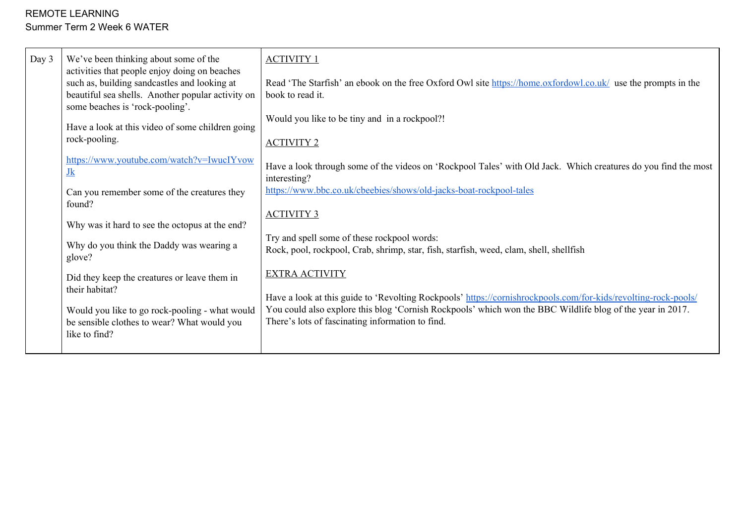| Day 3<br>We've been thinking about some of the<br><b>ACTIVITY 1</b><br>activities that people enjoy doing on beaches<br>such as, building sandcastles and looking at<br>beautiful sea shells. Another popular activity on<br>book to read it.<br>some beaches is 'rock-pooling'.<br>Have a look at this video of some children going<br>rock-pooling.<br><b>ACTIVITY 2</b><br>https://www.youtube.com/watch?v=IwucIYvow<br>$Jk$<br>interesting?<br>Can you remember some of the creatures they<br>found?<br><b>ACTIVITY 3</b><br>Why was it hard to see the octopus at the end?<br>Why do you think the Daddy was wearing a<br>glove?<br><b>EXTRA ACTIVITY</b><br>Did they keep the creatures or leave them in<br>their habitat?<br>Would you like to go rock-pooling - what would<br>be sensible clothes to wear? What would you<br>like to find? | Read 'The Starfish' an ebook on the free Oxford Owl site https://home.oxfordowl.co.uk/ use the prompts in the<br>Would you like to be tiny and in a rockpool?!<br>Have a look through some of the videos on 'Rockpool Tales' with Old Jack. Which creatures do you find the most<br>https://www.bbc.co.uk/cbeebies/shows/old-jacks-boat-rockpool-tales<br>Try and spell some of these rockpool words:<br>Rock, pool, rockpool, Crab, shrimp, star, fish, starfish, weed, clam, shell, shellfish<br>Have a look at this guide to 'Revolting Rockpools' https://cornishrockpools.com/for-kids/revolting-rock-pools/<br>You could also explore this blog 'Cornish Rockpools' which won the BBC Wildlife blog of the year in 2017.<br>There's lots of fascinating information to find. |
|----------------------------------------------------------------------------------------------------------------------------------------------------------------------------------------------------------------------------------------------------------------------------------------------------------------------------------------------------------------------------------------------------------------------------------------------------------------------------------------------------------------------------------------------------------------------------------------------------------------------------------------------------------------------------------------------------------------------------------------------------------------------------------------------------------------------------------------------------|------------------------------------------------------------------------------------------------------------------------------------------------------------------------------------------------------------------------------------------------------------------------------------------------------------------------------------------------------------------------------------------------------------------------------------------------------------------------------------------------------------------------------------------------------------------------------------------------------------------------------------------------------------------------------------------------------------------------------------------------------------------------------------|
|----------------------------------------------------------------------------------------------------------------------------------------------------------------------------------------------------------------------------------------------------------------------------------------------------------------------------------------------------------------------------------------------------------------------------------------------------------------------------------------------------------------------------------------------------------------------------------------------------------------------------------------------------------------------------------------------------------------------------------------------------------------------------------------------------------------------------------------------------|------------------------------------------------------------------------------------------------------------------------------------------------------------------------------------------------------------------------------------------------------------------------------------------------------------------------------------------------------------------------------------------------------------------------------------------------------------------------------------------------------------------------------------------------------------------------------------------------------------------------------------------------------------------------------------------------------------------------------------------------------------------------------------|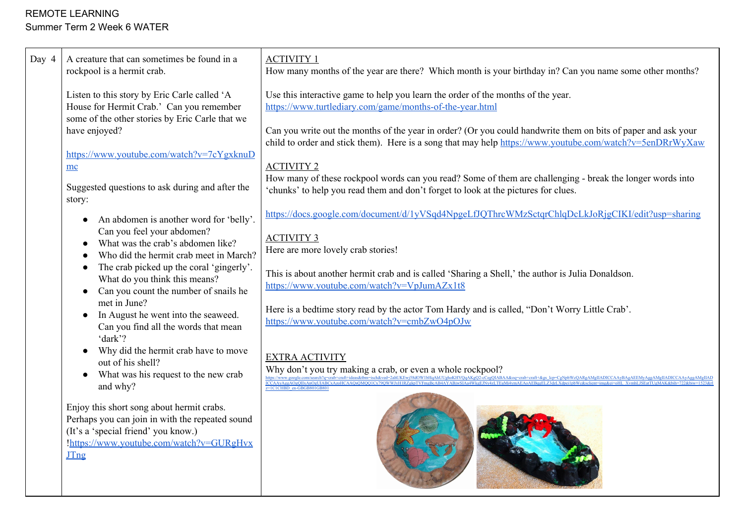| Day 4 | A creature that can sometimes be found in a<br>rockpool is a hermit crab.                                                                                                                                  | <b>ACTIVITY 1</b><br>How many months of the year are there? Which month is your birthday in? Can you name some other months?                                                                                              |
|-------|------------------------------------------------------------------------------------------------------------------------------------------------------------------------------------------------------------|---------------------------------------------------------------------------------------------------------------------------------------------------------------------------------------------------------------------------|
|       | Listen to this story by Eric Carle called 'A<br>House for Hermit Crab.' Can you remember                                                                                                                   | Use this interactive game to help you learn the order of the months of the year.<br>https://www.turtlediary.com/game/months-of-the-year.html                                                                              |
|       | some of the other stories by Eric Carle that we<br>have enjoyed?                                                                                                                                           | Can you write out the months of the year in order? (Or you could handwrite them on bits of paper and ask your<br>child to order and stick them). Here is a song that may help https://www.youtube.com/watch?v=5enDRrWyXaw |
|       | https://www.youtube.com/watch?v=7cYgxknuD                                                                                                                                                                  | <b>ACTIVITY 2</b>                                                                                                                                                                                                         |
|       | mc<br>Suggested questions to ask during and after the<br>story:                                                                                                                                            | How many of these rockpool words can you read? Some of them are challenging - break the longer words into<br>'chunks' to help you read them and don't forget to look at the pictures for clues.                           |
|       | An abdomen is another word for 'belly'.                                                                                                                                                                    | https://docs.google.com/document/d/1yVSqd4NpgeLfJQThrcWMzSctqrChlqDcLkJoRjgCIKI/edit?usp=sharing                                                                                                                          |
|       | Can you feel your abdomen?<br>What was the crab's abdomen like?<br>Who did the hermit crab meet in March?                                                                                                  | <b>ACTIVITY 3</b><br>Here are more lovely crab stories!                                                                                                                                                                   |
|       | The crab picked up the coral 'gingerly'.<br>What do you think this means?<br>Can you count the number of snails he                                                                                         | This is about another hermit crab and is called 'Sharing a Shell,' the author is Julia Donaldson.<br>https://www.youtube.com/watch?v=VpJumAZx1t8                                                                          |
|       | met in June?<br>In August he went into the seaweed.<br>Can you find all the words that mean                                                                                                                | Here is a bedtime story read by the actor Tom Hardy and is called, "Don't Worry Little Crab'.<br>https://www.youtube.com/watch?v=cmbZwO4pOJw                                                                              |
|       | 'dark'?<br>Why did the hermit crab have to move<br>out of his shell?                                                                                                                                       | <b>EXTRA ACTIVITY</b>                                                                                                                                                                                                     |
|       | What was his request to the new crab                                                                                                                                                                       | Why don't you try making a crab, or even a whole rockpool?                                                                                                                                                                |
|       | and why?<br>Enjoy this short song about hermit crabs.<br>Perhaps you can join in with the repeated sound<br>(It's a 'special friend' you know.)<br>!https://www.youtube.com/watch?v=GURgHvx<br><b>JTng</b> | $z=1$ C1CHBD en-GBGB801GB80                                                                                                                                                                                               |